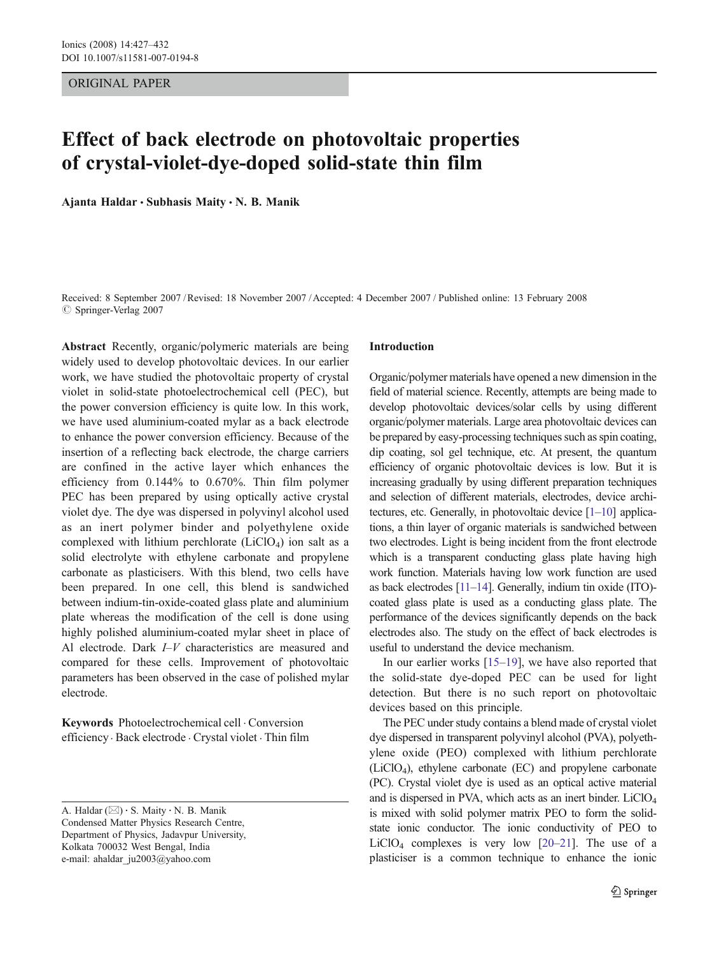# ORIGINAL PAPER

# Effect of back electrode on photovoltaic properties of crystal-violet-dye-doped solid-state thin film

Ajanta Haldar  $\cdot$  Subhasis Maity  $\cdot$  N. B. Manik

Received: 8 September 2007 /Revised: 18 November 2007 /Accepted: 4 December 2007 / Published online: 13 February 2008  $\oslash$  Springer-Verlag 2007

Abstract Recently, organic/polymeric materials are being widely used to develop photovoltaic devices. In our earlier work, we have studied the photovoltaic property of crystal violet in solid-state photoelectrochemical cell (PEC), but the power conversion efficiency is quite low. In this work, we have used aluminium-coated mylar as a back electrode to enhance the power conversion efficiency. Because of the insertion of a reflecting back electrode, the charge carriers are confined in the active layer which enhances the efficiency from 0.144% to 0.670%. Thin film polymer PEC has been prepared by using optically active crystal violet dye. The dye was dispersed in polyvinyl alcohol used as an inert polymer binder and polyethylene oxide complexed with lithium perchlorate  $(LiClO<sub>4</sub>)$  ion salt as a solid electrolyte with ethylene carbonate and propylene carbonate as plasticisers. With this blend, two cells have been prepared. In one cell, this blend is sandwiched between indium-tin-oxide-coated glass plate and aluminium plate whereas the modification of the cell is done using highly polished aluminium-coated mylar sheet in place of Al electrode. Dark I–V characteristics are measured and compared for these cells. Improvement of photovoltaic parameters has been observed in the case of polished mylar electrode.

Keywords Photoelectrochemical cell . Conversion efficiency . Back electrode . Crystal violet . Thin film

# Introduction

Organic/polymer materials have opened a new dimension in the field of material science. Recently, attempts are being made to develop photovoltaic devices/solar cells by using different organic/polymer materials. Large area photovoltaic devices can be prepared by easy-processing techniques such as spin coating, dip coating, sol gel technique, etc. At present, the quantum efficiency of organic photovoltaic devices is low. But it is increasing gradually by using different preparation techniques and selection of different materials, electrodes, device architectures, etc. Generally, in photovoltaic device [\[1](#page-5-0)–[10](#page-5-0)] applications, a thin layer of organic materials is sandwiched between two electrodes. Light is being incident from the front electrode which is a transparent conducting glass plate having high work function. Materials having low work function are used as back electrodes [[11](#page-5-0)–[14](#page-5-0)]. Generally, indium tin oxide (ITO) coated glass plate is used as a conducting glass plate. The performance of the devices significantly depends on the back electrodes also. The study on the effect of back electrodes is useful to understand the device mechanism.

In our earlier works [[15](#page-5-0)–[19\]](#page-5-0), we have also reported that the solid-state dye-doped PEC can be used for light detection. But there is no such report on photovoltaic devices based on this principle.

The PEC under study contains a blend made of crystal violet dye dispersed in transparent polyvinyl alcohol (PVA), polyethylene oxide (PEO) complexed with lithium perchlorate (LiClO4), ethylene carbonate (EC) and propylene carbonate (PC). Crystal violet dye is used as an optical active material and is dispersed in PVA, which acts as an inert binder. LiClO4 is mixed with solid polymer matrix PEO to form the solidstate ionic conductor. The ionic conductivity of PEO to LiClO<sub>4</sub> complexes is very low  $[20-21]$  $[20-21]$  $[20-21]$ . The use of a plasticiser is a common technique to enhance the ionic

A. Haldar ( $\boxtimes$ ) · S. Maity · N. B. Manik Condensed Matter Physics Research Centre, Department of Physics, Jadavpur University, Kolkata 700032 West Bengal, India e-mail: ahaldar\_ju2003@yahoo.com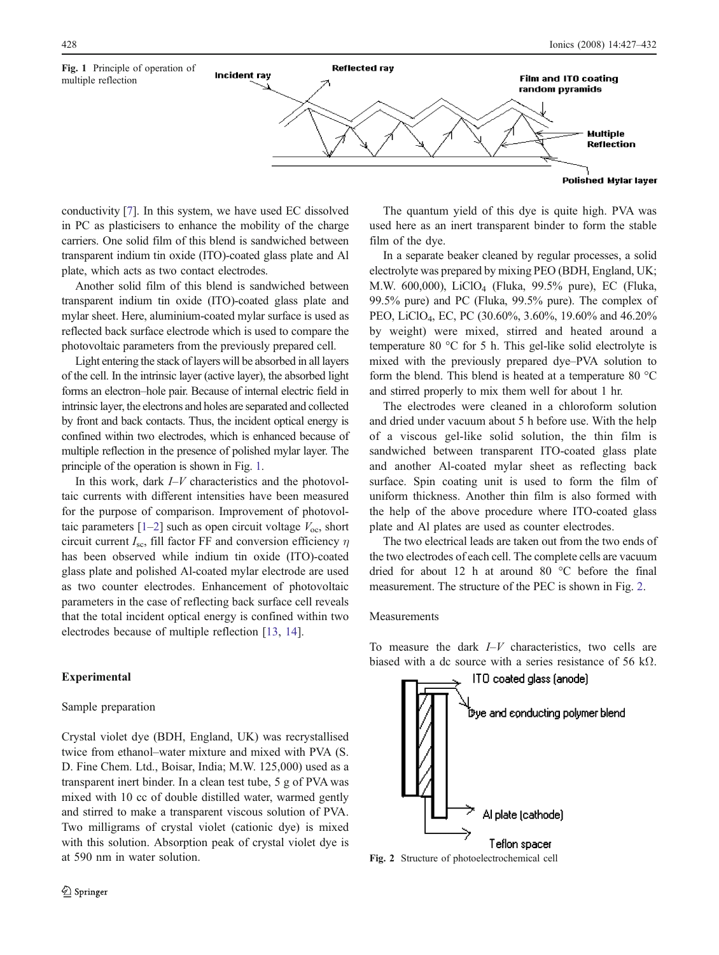

conductivity [\[7\]](#page-5-0). In this system, we have used EC dissolved in PC as plasticisers to enhance the mobility of the charge carriers. One solid film of this blend is sandwiched between transparent indium tin oxide (ITO)-coated glass plate and Al plate, which acts as two contact electrodes.

Another solid film of this blend is sandwiched between transparent indium tin oxide (ITO)-coated glass plate and mylar sheet. Here, aluminium-coated mylar surface is used as reflected back surface electrode which is used to compare the photovoltaic parameters from the previously prepared cell.

Light entering the stack of layers will be absorbed in all layers of the cell. In the intrinsic layer (active layer), the absorbed light forms an electron–hole pair. Because of internal electric field in intrinsic layer, the electrons and holes are separated and collected by front and back contacts. Thus, the incident optical energy is confined within two electrodes, which is enhanced because of multiple reflection in the presence of polished mylar layer. The principle of the operation is shown in Fig. 1.

In this work, dark  $I-V$  characteristics and the photovoltaic currents with different intensities have been measured for the purpose of comparison. Improvement of photovoltaic parameters  $[1-2]$  $[1-2]$  $[1-2]$  $[1-2]$  such as open circuit voltage  $V_{\text{oc}}$ , short circuit current  $I_{\rm sc}$ , fill factor FF and conversion efficiency  $\eta$ has been observed while indium tin oxide (ITO)-coated glass plate and polished Al-coated mylar electrode are used as two counter electrodes. Enhancement of photovoltaic parameters in the case of reflecting back surface cell reveals that the total incident optical energy is confined within two electrodes because of multiple reflection [[13,](#page-5-0) [14](#page-5-0)].

# Experimental

# Sample preparation

Crystal violet dye (BDH, England, UK) was recrystallised twice from ethanol–water mixture and mixed with PVA (S. D. Fine Chem. Ltd., Boisar, India; M.W. 125,000) used as a transparent inert binder. In a clean test tube, 5 g of PVA was mixed with 10 cc of double distilled water, warmed gently and stirred to make a transparent viscous solution of PVA. Two milligrams of crystal violet (cationic dye) is mixed with this solution. Absorption peak of crystal violet dye is at 590 nm in water solution.

The quantum yield of this dye is quite high. PVA was used here as an inert transparent binder to form the stable film of the dye.

In a separate beaker cleaned by regular processes, a solid electrolyte was prepared by mixing PEO (BDH, England, UK; M.W. 600,000), LiClO4 (Fluka, 99.5% pure), EC (Fluka, 99.5% pure) and PC (Fluka, 99.5% pure). The complex of PEO, LiClO4, EC, PC (30.60%, 3.60%, 19.60% and 46.20% by weight) were mixed, stirred and heated around a temperature 80 °C for 5 h. This gel-like solid electrolyte is mixed with the previously prepared dye–PVA solution to form the blend. This blend is heated at a temperature 80 °C and stirred properly to mix them well for about 1 hr.

The electrodes were cleaned in a chloroform solution and dried under vacuum about 5 h before use. With the help of a viscous gel-like solid solution, the thin film is sandwiched between transparent ITO-coated glass plate and another Al-coated mylar sheet as reflecting back surface. Spin coating unit is used to form the film of uniform thickness. Another thin film is also formed with the help of the above procedure where ITO-coated glass plate and Al plates are used as counter electrodes.

The two electrical leads are taken out from the two ends of the two electrodes of each cell. The complete cells are vacuum dried for about 12 h at around 80 °C before the final measurement. The structure of the PEC is shown in Fig. 2.

#### Measurements

To measure the dark  $I-V$  characteristics, two cells are biased with a dc source with a series resistance of 56 k $\Omega$ .



Fig. 2 Structure of photoelectrochemical cell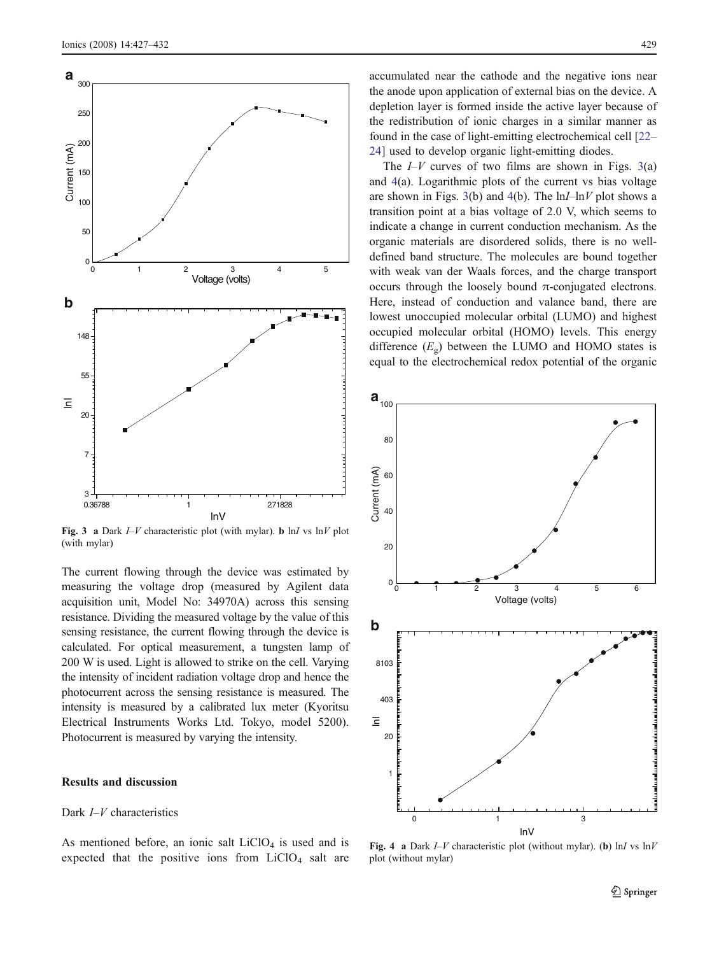

Fig. 3 a Dark  $I-V$  characteristic plot (with mylar). b ln*I* vs ln*V* plot (with mylar)

The current flowing through the device was estimated by measuring the voltage drop (measured by Agilent data acquisition unit, Model No: 34970A) across this sensing resistance. Dividing the measured voltage by the value of this sensing resistance, the current flowing through the device is calculated. For optical measurement, a tungsten lamp of 200 W is used. Light is allowed to strike on the cell. Varying the intensity of incident radiation voltage drop and hence the photocurrent across the sensing resistance is measured. The intensity is measured by a calibrated lux meter (Kyoritsu Electrical Instruments Works Ltd. Tokyo, model 5200). Photocurrent is measured by varying the intensity.

# Results and discussion

# Dark  $I-V$  characteristics

As mentioned before, an ionic salt  $LiClO<sub>4</sub>$  is used and is expected that the positive ions from  $LiClO<sub>4</sub>$  salt are accumulated near the cathode and the negative ions near the anode upon application of external bias on the device. A depletion layer is formed inside the active layer because of the redistribution of ionic charges in a similar manner as found in the case of light-emitting electrochemical cell [\[22](#page-5-0)– [24](#page-5-0)] used to develop organic light-emitting diodes.

The  $I-V$  curves of two films are shown in Figs. 3(a) and 4(a). Logarithmic plots of the current vs bias voltage are shown in Figs. 3(b) and 4(b). The  $\ln I - \ln V$  plot shows a transition point at a bias voltage of 2.0 V, which seems to indicate a change in current conduction mechanism. As the organic materials are disordered solids, there is no welldefined band structure. The molecules are bound together with weak van der Waals forces, and the charge transport occurs through the loosely bound π-conjugated electrons. Here, instead of conduction and valance band, there are lowest unoccupied molecular orbital (LUMO) and highest occupied molecular orbital (HOMO) levels. This energy difference  $(E_g)$  between the LUMO and HOMO states is equal to the electrochemical redox potential of the organic



Fig. 4 a Dark  $I-V$  characteristic plot (without mylar). (b) lnI vs  $\ln V$ plot (without mylar)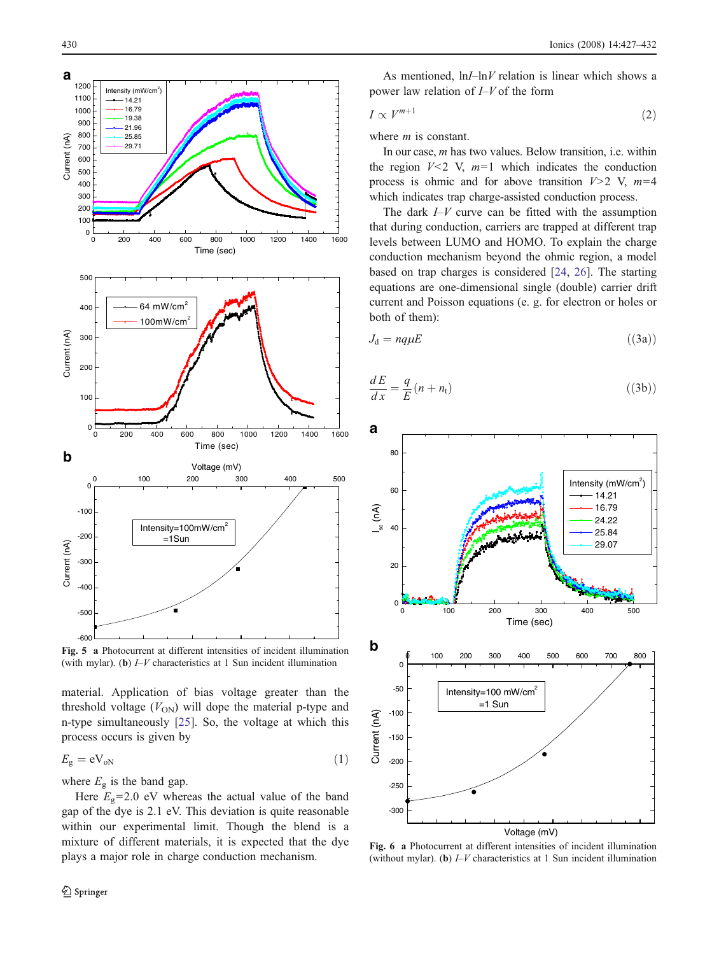<span id="page-3-0"></span>

Fig. 5 a Photocurrent at different intensities of incident illumination (with mylar). (b)  $I-V$  characteristics at 1 Sun incident illumination

material. Application of bias voltage greater than the threshold voltage  $(V_{ON})$  will dope the material p-type and n-type simultaneously [[25\]](#page-5-0). So, the voltage at which this process occurs is given by

$$
E_{\rm g} = \rm eV_{oN} \tag{1}
$$

where  $E<sub>g</sub>$  is the band gap.

Here  $E_g$ =2.0 eV whereas the actual value of the band gap of the dye is 2.1 eV. This deviation is quite reasonable within our experimental limit. Though the blend is a mixture of different materials, it is expected that the dye plays a major role in charge conduction mechanism.

As mentioned,  $\ln I - \ln V$  relation is linear which shows a power law relation of I–V of the form

$$
I \propto V^{m+1} \tag{2}
$$

where *m* is constant.

In our case,  $m$  has two values. Below transition, i.e. within the region  $V<2$  V,  $m=1$  which indicates the conduction process is ohmic and for above transition  $V>2$  V,  $m=4$ which indicates trap charge-assisted conduction process.

The dark  $I-V$  curve can be fitted with the assumption that during conduction, carriers are trapped at different trap levels between LUMO and HOMO. To explain the charge conduction mechanism beyond the ohmic region, a model based on trap charges is considered [[24,](#page-5-0) [26\]](#page-5-0). The starting equations are one-dimensional single (double) carrier drift current and Poisson equations (e. g. for electron or holes or both of them):

$$
J_{\rm d} = nq\mu E \tag{3a}
$$

$$
\frac{dE}{dx} = \frac{q}{E}(n + n_t) \tag{3b}
$$



Fig. 6 a Photocurrent at different intensities of incident illumination (without mylar). (b)  $I-V$  characteristics at 1 Sun incident illumination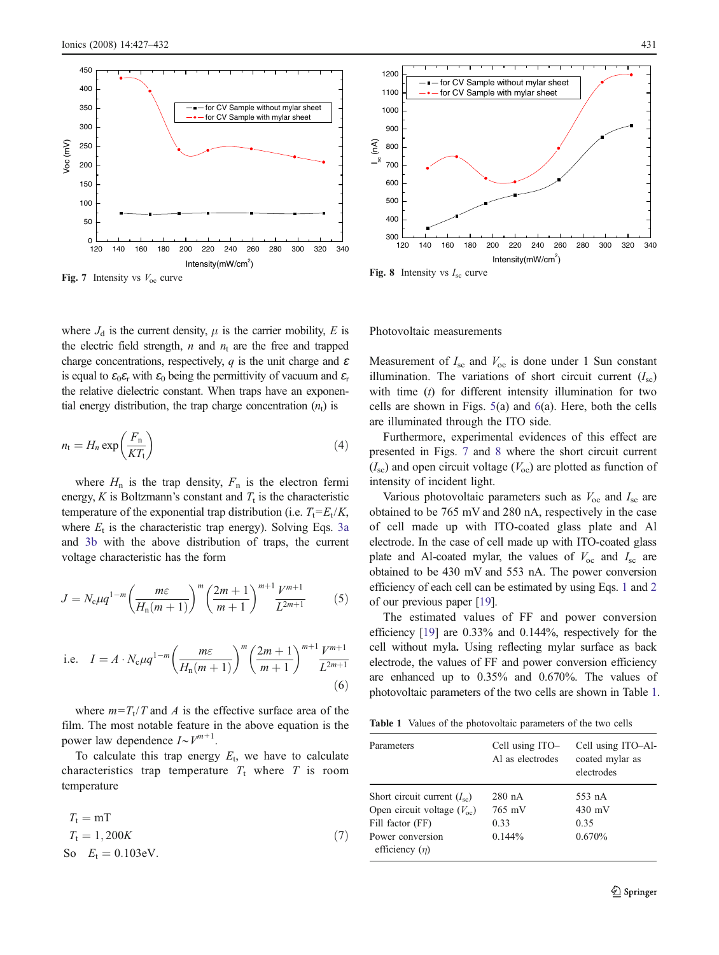<span id="page-4-0"></span>

Fig. 7 Intensity vs  $V_{\text{oc}}$  curve

where  $J_d$  is the current density,  $\mu$  is the carrier mobility, E is the electric field strength, *n* and  $n_t$  are the free and trapped charge concentrations, respectively, q is the unit charge and  $\varepsilon$ is equal to  $\epsilon_0 \epsilon_r$  with  $\epsilon_0$  being the permittivity of vacuum and  $\epsilon_r$ the relative dielectric constant. When traps have an exponential energy distribution, the trap charge concentration  $(n_t)$  is

$$
n_{\rm t} = H_n \exp\left(\frac{F_{\rm n}}{KT_{\rm t}}\right) \tag{4}
$$

where  $H_n$  is the trap density,  $F_n$  is the electron fermi energy, K is Boltzmann's constant and  $T_t$  is the characteristic temperature of the exponential trap distribution (i.e.  $T_t = E_t/K$ , where  $E_t$  is the characteristic trap energy). Solving Eqs. [3a](#page-3-0) and [3b](#page-3-0) with the above distribution of traps, the current voltage characteristic has the form

$$
J = N_c \mu q^{1-m} \left( \frac{m \varepsilon}{H_n(m+1)} \right)^m \left( \frac{2m+1}{m+1} \right)^{m+1} \frac{V^{m+1}}{L^{2m+1}} \tag{5}
$$

i.e. 
$$
I = A \cdot N_c \mu q^{1-m} \left(\frac{m\varepsilon}{H_n(m+1)}\right)^m \left(\frac{2m+1}{m+1}\right)^{m+1} \frac{V^{m+1}}{L^{2m+1}}
$$
(6)

where  $m=T_t/T$  and A is the effective surface area of the film. The most notable feature in the above equation is the power law dependence  $I \sim V^{m+1}$ .

To calculate this trap energy  $E_t$ , we have to calculate characteristics trap temperature  $T_t$  where  $T$  is room temperature

$$
T_{t} = mT
$$
  
\n
$$
T_{t} = 1,200K
$$
  
\nSo  $E_{t} = 0.103eV$ . (7)



120 140 160 180 200 220 240 260 280 300 320 340  $\frac{1}{120}$ 400 Intensity $(mW/cm<sup>2</sup>)$ 

Fig. 8 Intensity vs  $I_{\rm sc}$  curve

 $\widehat{\mathcal{E}}$ 

Photovoltaic measurements

Measurement of  $I_{\rm sc}$  and  $V_{\rm oc}$  is done under 1 Sun constant illumination. The variations of short circuit current  $(I_{\rm sc})$ with time  $(t)$  for different intensity illumination for two cells are shown in Figs. [5](#page-3-0)(a) and [6](#page-3-0)(a). Here, both the cells are illuminated through the ITO side.

Furthermore, experimental evidences of this effect are presented in Figs. 7 and 8 where the short circuit current  $(I<sub>sc</sub>)$  and open circuit voltage  $(V<sub>oc</sub>)$  are plotted as function of intensity of incident light.

Various photovoltaic parameters such as  $V_{\text{oc}}$  and  $I_{\text{sc}}$  are obtained to be 765 mV and 280 nA, respectively in the case of cell made up with ITO-coated glass plate and Al electrode. In the case of cell made up with ITO-coated glass plate and Al-coated mylar, the values of  $V_{\text{oc}}$  and  $I_{\text{sc}}$  are obtained to be 430 mV and 553 nA. The power conversion efficiency of each cell can be estimated by using Eqs. [1](#page-3-0) and [2](#page-3-0) of our previous paper [\[19\]](#page-5-0).

The estimated values of FF and power conversion efficiency [[19](#page-5-0)] are 0.33% and 0.144%, respectively for the cell without myla. Using reflecting mylar surface as back electrode, the values of FF and power conversion efficiency are enhanced up to 0.35% and 0.670%. The values of photovoltaic parameters of the two cells are shown in Table 1.

| <b>Table 1</b> Values of the photovoltaic parameters of the two cells |
|-----------------------------------------------------------------------|
|                                                                       |

| Parameters                           | Cell using ITO-<br>Al as electrodes | Cell using ITO-Al-<br>coated mylar as<br>electrodes |
|--------------------------------------|-------------------------------------|-----------------------------------------------------|
| Short circuit current $(I_{sc})$     | 280 nA                              | 553 nA                                              |
| Open circuit voltage $(V_{\rm oc})$  | 765 mV                              | $430 \text{ mV}$                                    |
| Fill factor (FF)                     | 0.33                                | 0.35                                                |
| Power conversion<br>efficiency $(n)$ | $0.144\%$                           | 0.670%                                              |